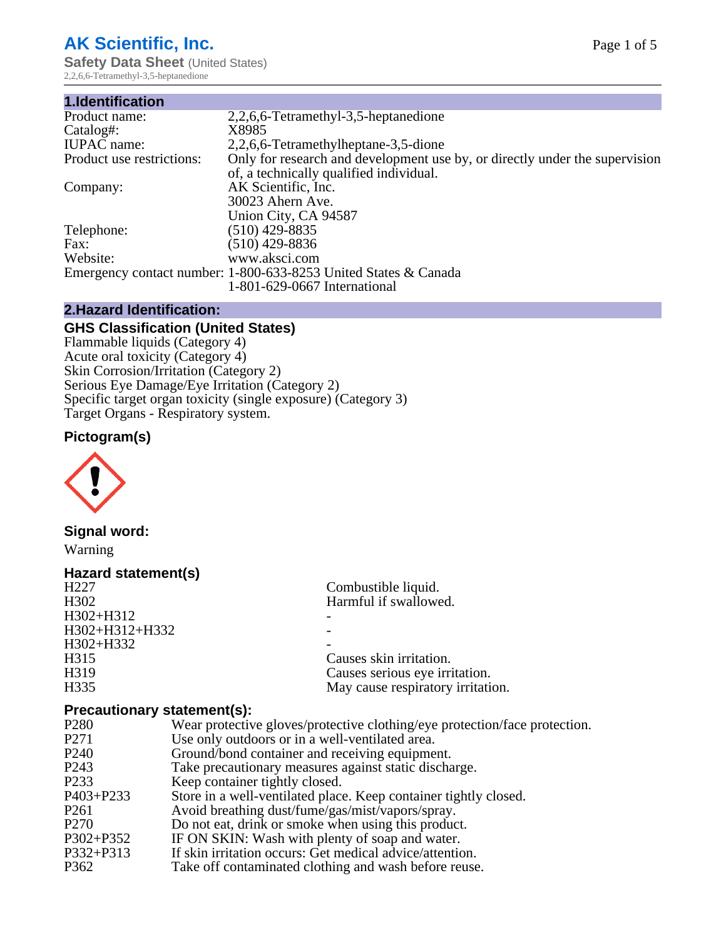## **AK Scientific, Inc.**

**Safety Data Sheet (United States)** 2,2,6,6-Tetramethyl-3,5-heptanedione

| 1.Identification          |                                                                             |
|---------------------------|-----------------------------------------------------------------------------|
| Product name:             | 2,2,6,6-Tetramethyl-3,5-heptanedione                                        |
| Catalog#:                 | X8985                                                                       |
| <b>IUPAC</b> name:        | 2,2,6,6-Tetramethylheptane-3,5-dione                                        |
| Product use restrictions: | Only for research and development use by, or directly under the supervision |
|                           | of, a technically qualified individual.                                     |
| Company:                  | AK Scientific, Inc.                                                         |
|                           | 30023 Ahern Ave.                                                            |
|                           | Union City, CA 94587                                                        |
| Telephone:                | $(510)$ 429-8835                                                            |
| Fax:                      | (510) 429-8836                                                              |
| Website:                  | www.aksci.com                                                               |
|                           | Emergency contact number: 1-800-633-8253 United States & Canada             |
|                           | 1-801-629-0667 International                                                |

## **2.Hazard Identification:**

## **GHS Classification (United States)**

Flammable liquids (Category 4) Acute oral toxicity (Category 4) Skin Corrosion/Irritation (Category 2) Serious Eye Damage/Eye Irritation (Category 2) Specific target organ toxicity (single exposure) (Category 3) Target Organs - Respiratory system.

## **Pictogram(s)**



**Signal word:**

Warning

## **Hazard statement(s)**

| Combustible liquid.               |
|-----------------------------------|
| Harmful if swallowed.             |
|                                   |
|                                   |
|                                   |
| Causes skin irritation.           |
| Causes serious eye irritation.    |
| May cause respiratory irritation. |
|                                   |

### **Precautionary statement(s):**

| P <sub>280</sub>  | Wear protective gloves/protective clothing/eye protection/face protection. |
|-------------------|----------------------------------------------------------------------------|
| P <sub>271</sub>  | Use only outdoors or in a well-ventilated area.                            |
| P <sub>240</sub>  | Ground/bond container and receiving equipment.                             |
| P <sub>243</sub>  | Take precautionary measures against static discharge.                      |
| P <sub>2</sub> 33 | Keep container tightly closed.                                             |
| $P403 + P233$     | Store in a well-ventilated place. Keep container tightly closed.           |
| P <sub>261</sub>  | Avoid breathing dust/fume/gas/mist/vapors/spray.                           |
| P <sub>270</sub>  | Do not eat, drink or smoke when using this product.                        |
| $P302 + P352$     | IF ON SKIN: Wash with plenty of soap and water.                            |
| $P332 + P313$     | If skin irritation occurs: Get medical advice/attention.                   |
| P362              | Take off contaminated clothing and wash before reuse.                      |
|                   |                                                                            |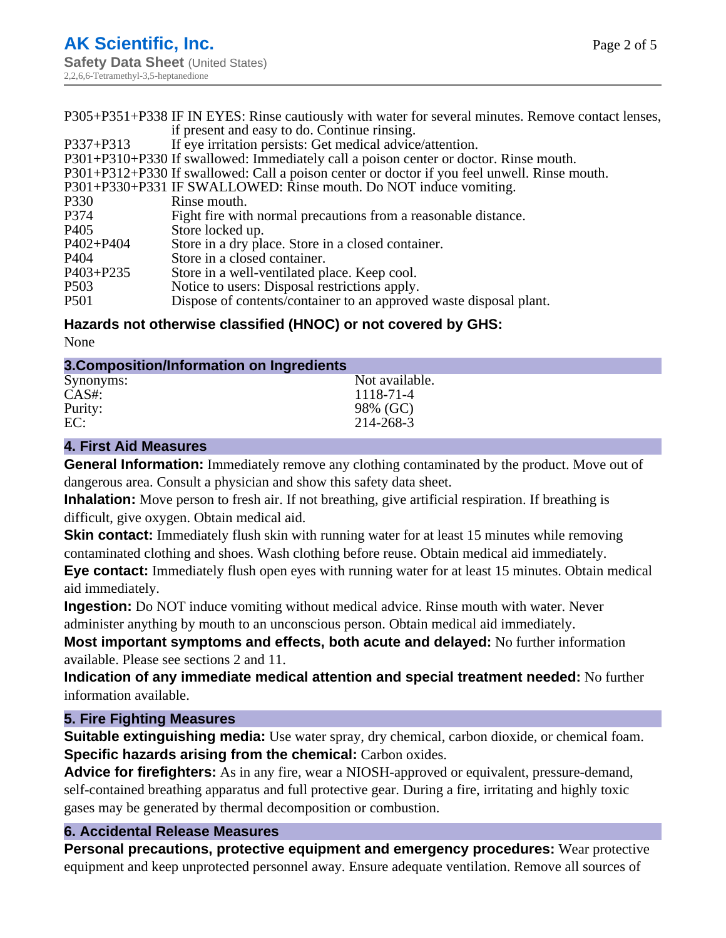|                  | P305+P351+P338 IF IN EYES: Rinse cautiously with water for several minutes. Remove contact lenses, |
|------------------|----------------------------------------------------------------------------------------------------|
|                  | if present and easy to do. Continue rinsing.                                                       |
| P337+P313        | If eye irritation persists: Get medical advice/attention.                                          |
|                  | P301+P310+P330 If swallowed: Immediately call a poison center or doctor. Rinse mouth.              |
|                  | P301+P312+P330 If swallowed: Call a poison center or doctor if you feel unwell. Rinse mouth.       |
|                  | P301+P330+P331 IF SWALLOWED: Rinse mouth. Do NOT induce vomiting.                                  |
| P330             | Rinse mouth.                                                                                       |
| P374             | Fight fire with normal precautions from a reasonable distance.                                     |
| P405             | Store locked up.                                                                                   |
| P402+P404        | Store in a dry place. Store in a closed container.                                                 |
| P404             | Store in a closed container.                                                                       |
| P403+P235        | Store in a well-ventilated place. Keep cool.                                                       |
| P <sub>503</sub> | Notice to users: Disposal restrictions apply.                                                      |
| <b>P501</b>      | Dispose of contents/container to an approved waste disposal plant.                                 |

## **Hazards not otherwise classified (HNOC) or not covered by GHS:**

None

| 3. Composition/Information on Ingredients |  |
|-------------------------------------------|--|
|                                           |  |

| Synonyms: | Not available. |
|-----------|----------------|
| CAS#:     | 1118-71-4      |
| Purity:   | 98% (GC)       |
| EC:       | 214-268-3      |
|           |                |

## **4. First Aid Measures**

**General Information:** Immediately remove any clothing contaminated by the product. Move out of dangerous area. Consult a physician and show this safety data sheet.

**Inhalation:** Move person to fresh air. If not breathing, give artificial respiration. If breathing is difficult, give oxygen. Obtain medical aid.

**Skin contact:** Immediately flush skin with running water for at least 15 minutes while removing contaminated clothing and shoes. Wash clothing before reuse. Obtain medical aid immediately.

**Eye contact:** Immediately flush open eyes with running water for at least 15 minutes. Obtain medical aid immediately.

**Ingestion:** Do NOT induce vomiting without medical advice. Rinse mouth with water. Never administer anything by mouth to an unconscious person. Obtain medical aid immediately.

**Most important symptoms and effects, both acute and delayed:** No further information available. Please see sections 2 and 11.

**Indication of any immediate medical attention and special treatment needed:** No further information available.

### **5. Fire Fighting Measures**

**Suitable extinguishing media:** Use water spray, dry chemical, carbon dioxide, or chemical foam. **Specific hazards arising from the chemical:** Carbon oxides.

**Advice for firefighters:** As in any fire, wear a NIOSH-approved or equivalent, pressure-demand, self-contained breathing apparatus and full protective gear. During a fire, irritating and highly toxic gases may be generated by thermal decomposition or combustion.

## **6. Accidental Release Measures**

**Personal precautions, protective equipment and emergency procedures:** Wear protective equipment and keep unprotected personnel away. Ensure adequate ventilation. Remove all sources of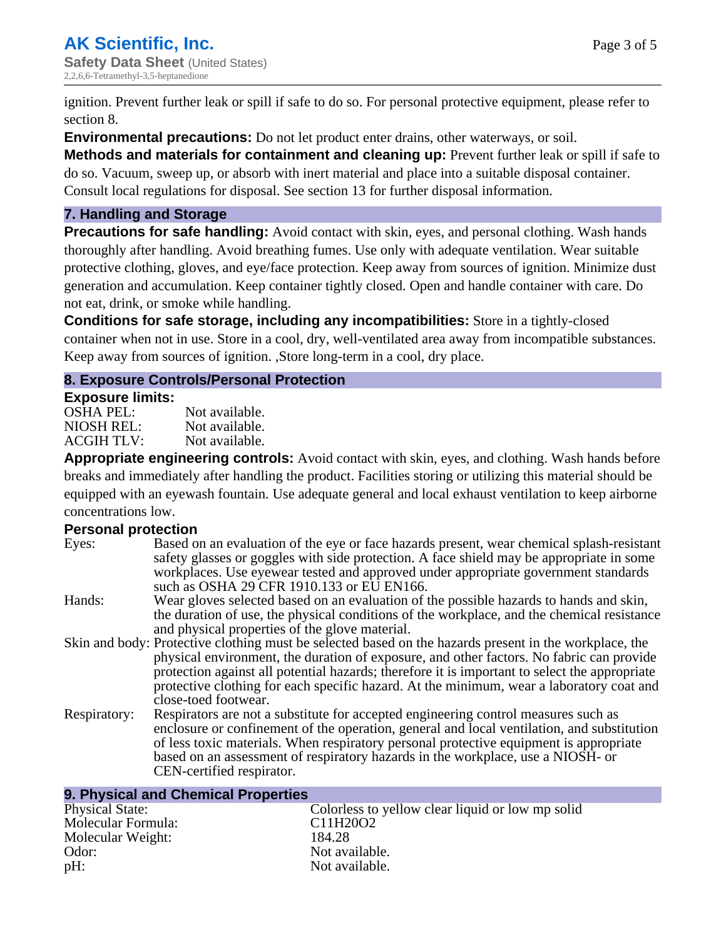ignition. Prevent further leak or spill if safe to do so. For personal protective equipment, please refer to section 8.

**Environmental precautions:** Do not let product enter drains, other waterways, or soil.

**Methods and materials for containment and cleaning up:** Prevent further leak or spill if safe to do so. Vacuum, sweep up, or absorb with inert material and place into a suitable disposal container. Consult local regulations for disposal. See section 13 for further disposal information.

## **7. Handling and Storage**

**Precautions for safe handling:** Avoid contact with skin, eyes, and personal clothing. Wash hands thoroughly after handling. Avoid breathing fumes. Use only with adequate ventilation. Wear suitable protective clothing, gloves, and eye/face protection. Keep away from sources of ignition. Minimize dust generation and accumulation. Keep container tightly closed. Open and handle container with care. Do not eat, drink, or smoke while handling.

**Conditions for safe storage, including any incompatibilities:** Store in a tightly-closed container when not in use. Store in a cool, dry, well-ventilated area away from incompatible substances. Keep away from sources of ignition. ,Store long-term in a cool, dry place.

## **8. Exposure Controls/Personal Protection**

### **Exposure limits:**

| OSHA PEL:  | Not available. |
|------------|----------------|
| NIOSH REL: | Not available. |
| ACGIH TLV: | Not available. |

**Appropriate engineering controls:** Avoid contact with skin, eyes, and clothing. Wash hands before breaks and immediately after handling the product. Facilities storing or utilizing this material should be equipped with an eyewash fountain. Use adequate general and local exhaust ventilation to keep airborne concentrations low.

## **Personal protection**

| Eyes:        | Based on an evaluation of the eye or face hazards present, wear chemical splash-resistant<br>safety glasses or goggles with side protection. A face shield may be appropriate in some<br>workplaces. Use eyewear tested and approved under appropriate government standards<br>such as OSHA 29 CFR 1910.133 or EU EN166.                                                                                                |
|--------------|-------------------------------------------------------------------------------------------------------------------------------------------------------------------------------------------------------------------------------------------------------------------------------------------------------------------------------------------------------------------------------------------------------------------------|
| Hands:       | Wear gloves selected based on an evaluation of the possible hazards to hands and skin,<br>the duration of use, the physical conditions of the workplace, and the chemical resistance<br>and physical properties of the glove material.                                                                                                                                                                                  |
|              | Skin and body: Protective clothing must be selected based on the hazards present in the workplace, the<br>physical environment, the duration of exposure, and other factors. No fabric can provide<br>protection against all potential hazards; therefore it is important to select the appropriate<br>protective clothing for each specific hazard. At the minimum, wear a laboratory coat and<br>close-toed footwear. |
| Respiratory: | Respirators are not a substitute for accepted engineering control measures such as<br>enclosure or confinement of the operation, general and local ventilation, and substitution<br>of less toxic materials. When respiratory personal protective equipment is appropriate<br>based on an assessment of respiratory hazards in the workplace, use a NIOSH- or<br>CEN-certified respirator.                              |

| 9. Physical and Chemical Properties |                                                  |  |  |
|-------------------------------------|--------------------------------------------------|--|--|
| <b>Physical State:</b>              | Colorless to yellow clear liquid or low mp solid |  |  |
| Molecular Formula:                  | C11H20O2                                         |  |  |
| Molecular Weight:                   | 184.28                                           |  |  |
| Odor:                               | Not available.                                   |  |  |
| pH:                                 | Not available.                                   |  |  |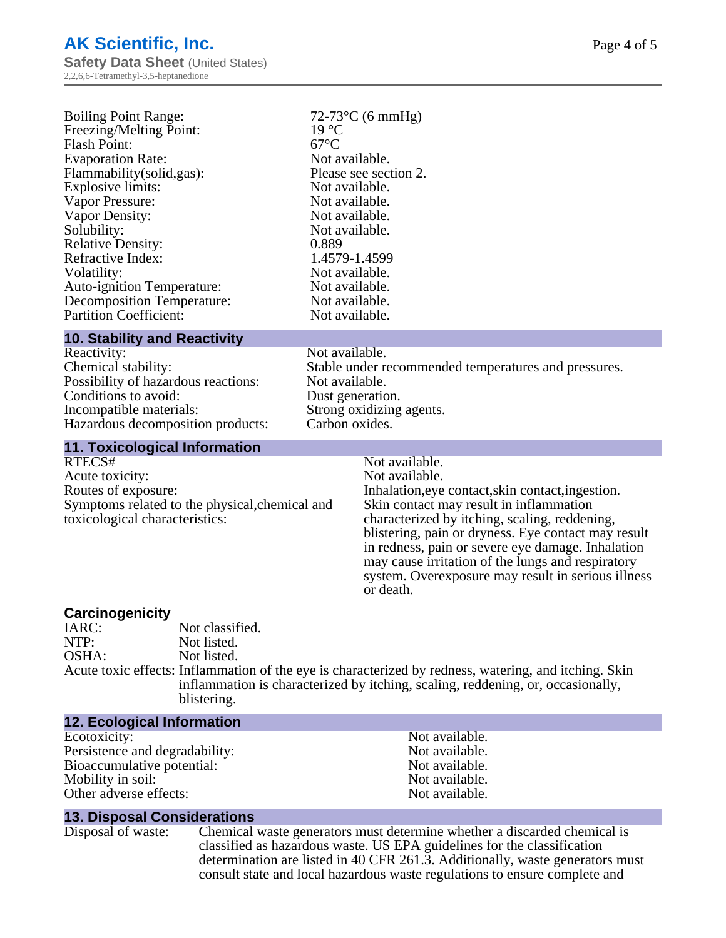| <b>Boiling Point Range:</b>       | $72-73$ °C (6 mmHg)   |
|-----------------------------------|-----------------------|
| Freezing/Melting Point:           | $19^{\circ}$ C        |
| <b>Flash Point:</b>               | $67^{\circ}$ C        |
| <b>Evaporation Rate:</b>          | Not available.        |
| Flammability(solid,gas):          | Please see section 2. |
| Explosive limits:                 | Not available.        |
| Vapor Pressure:                   | Not available.        |
| Vapor Density:                    | Not available.        |
| Solubility:                       | Not available.        |
| <b>Relative Density:</b>          | 0.889                 |
| Refractive Index:                 | 1.4579-1.4599         |
| Volatility:                       | Not available.        |
| <b>Auto-ignition Temperature:</b> | Not available.        |
| <b>Decomposition Temperature:</b> | Not available.        |
| <b>Partition Coefficient:</b>     | Not available.        |
|                                   |                       |

#### **10. Stability and Reactivity**

Reactivity: Not available.<br>Chemical stability: Stable under re Possibility of hazardous reactions: Not available. Conditions to avoid: Dust generation.<br>
Incompatible materials: Strong oxidizing Hazardous decomposition products:

Stable under recommended temperatures and pressures. Strong oxidizing agents.<br>Carbon oxides.

# **11. Toxicological Information**

Acute toxicity: Routes of exposure: The Inhalation, eve contact, skin contact, ingestion. Symptoms related to the physical,chemical and toxicological characteristics:

Not available.<br>Not available. Skin contact may result in inflammation characterized by itching, scaling, reddening, blistering, pain or dryness. Eye contact may result in redness, pain or severe eye damage. Inhalation may cause irritation of the lungs and respiratory system. Overexposure may result in serious illness or death.

## **Carcinogenicity**

IARC: Not classified.<br>
Not listed. Not listed. OSHA: Not listed. Acute toxic effects: Inflammation of the eye is characterized by redness, watering, and itching. Skin inflammation is characterized by itching, scaling, reddening, or, occasionally, blistering.

### **12. Ecological Information** Ecotoxicity: Not available.<br>
Persistence and degradability: Not available. Persistence and degradability: Bioaccumulative potential: Not available. Mobility in soil:<br>
Other adverse effects:<br>
Other adverse effects:<br>  $\begin{array}{ccc}\n\bullet & \bullet & \bullet \\
\bullet & \bullet & \bullet \\
\bullet & \bullet & \bullet\n\end{array}$ Other adverse effects:

#### **13. Disposal Considerations**

Disposal of waste: Chemical waste generators must determine whether a discarded chemical is classified as hazardous waste. US EPA guidelines for the classification determination are listed in 40 CFR 261.3. Additionally, waste generators must consult state and local hazardous waste regulations to ensure complete and